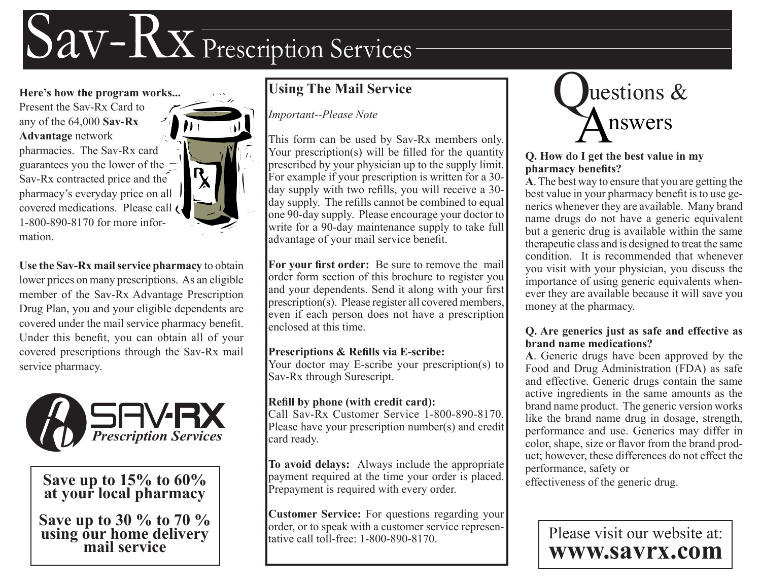# Sav-Rx Prescription Services

**Here's how the program works...** Present the Sav-Rx Card to any of the 64,000 **Sav-Rx Advantage** network pharmacies. The Sav-Rx card guarantees you the lower of the Sav-Rx contracted price and the pharmacy's everyday price on all covered medications. Please call 1-800-890-8170 for more information.

**Use the Sav-Rx mail service pharmacy** to obtain lower prices on many prescriptions. As an eligible member of the Sav-Rx Advantage Prescription Drug Plan, you and your eligible dependents are covered under the mail service pharmacy beneft. Under this beneft, you can obtain all of your covered prescriptions through the Sav-Rx mail service pharmacy.



**Save up to 15% to 60% at your local pharmacy**

**Save up to 30 % to 70 % using our home delivery mail service**

## **Using The Mail Service**

*Important--Please Note*

This form can be used by Sav-Rx members only. Your prescription(s) will be filled for the quantity prescribed by your physician up to the supply limit. For example if your prescription is written for a 30 day supply with two refills, you will receive a 30day supply. The refills cannot be combined to equal one 90-day supply. Please encourage your doctor to write for a 90-day maintenance supply to take full advantage of your mail service beneft.

**For your frst order:** Be sure to remove the mail order form section of this brochure to register you and your dependents. Send it along with your first prescription(s). Please register all covered members, even if each person does not have a prescription enclosed at this time.

#### **Prescriptions & Reflls via E-scribe:**

Your doctor may E-scribe your prescription(s) to Sav-Rx through Surescript.

#### **Refll by phone (with credit card):**

Call Sav-Rx Customer Service 1-800-890-8170. Please have your prescription number(s) and credit card ready.

**To avoid delays:** Always include the appropriate payment required at the time your order is placed. Prepayment is required with every order.

**Customer Service:** For questions regarding your order, or to speak with a customer service representative call toll-free: 1-800-890-8170.



#### **Q. How do I get the best value in my pharmacy benefts?**

**A**. The best way to ensure that you are getting the best value in your pharmacy beneft is to use generics whenever they are available. Many brand name drugs do not have a generic equivalent but a generic drug is available within the same therapeutic class and is designed to treat the same condition. It is recommended that whenever you visit with your physician, you discuss the importance of using generic equivalents whenever they are available because it will save you money at the pharmacy.

#### **Q. Are generics just as safe and effective as brand name medications?**

**A**. Generic drugs have been approved by the Food and Drug Administration (FDA) as safe and effective. Generic drugs contain the same active ingredients in the same amounts as the brand name product. The generic version works like the brand name drug in dosage, strength, performance and use. Generics may differ in color, shape, size or favor from the brand product; however, these differences do not effect the performance, safety or

effectiveness of the generic drug.

Please visit our website at: **www.savrx.com**